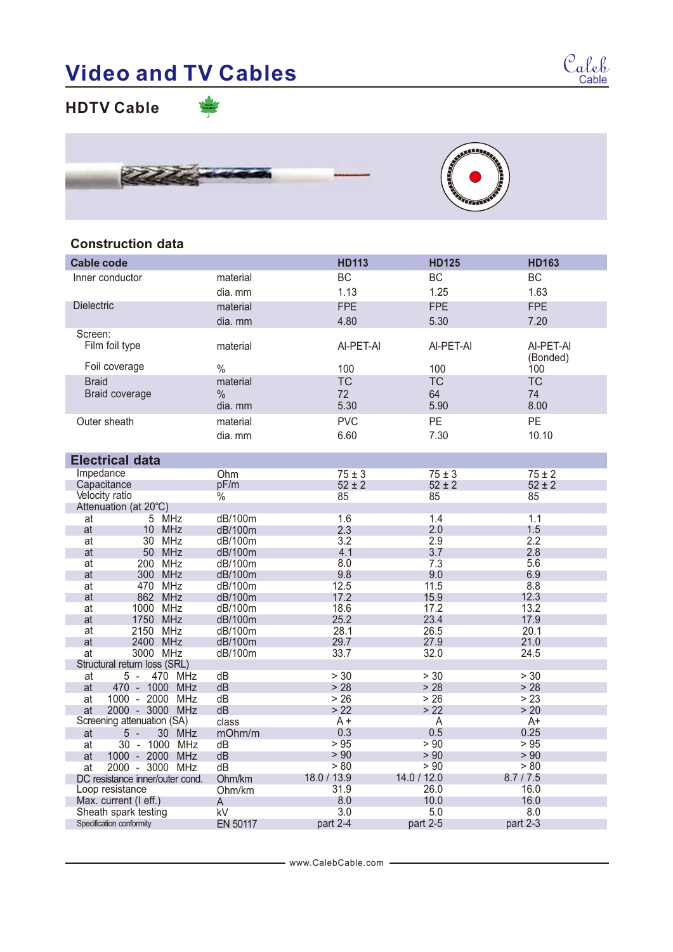## **Video and TV Cables**

**HDTV Cable**



## **Construction data**

| <b>Cable code</b>                  |                 | <b>HD113</b> | <b>HD125</b> | <b>HD163</b>          |
|------------------------------------|-----------------|--------------|--------------|-----------------------|
| Inner conductor                    | material        | <b>BC</b>    | <b>BC</b>    | <b>BC</b>             |
|                                    | dia. mm         | 1.13         | 1.25         | 1.63                  |
| <b>Dielectric</b>                  | material        | <b>FPE</b>   | <b>FPE</b>   | <b>FPE</b>            |
|                                    | dia. mm         | 4.80         | 5.30         | 7.20                  |
| Screen:                            |                 |              |              |                       |
| Film foil type                     | material        | Al-PET-AI    | AI-PET-AI    | AI-PET-AI<br>(Bonded) |
| Foil coverage                      | $\frac{0}{0}$   | 100          | 100          | 100                   |
| <b>Braid</b>                       | material        | <b>TC</b>    | <b>TC</b>    | <b>TC</b>             |
| Braid coverage                     | $\frac{0}{0}$   | 72           | 64           | 74                    |
|                                    | dia, mm         | 5.30         | 5.90         | 8.00                  |
| Outer sheath                       | material        | <b>PVC</b>   | PE           | PE                    |
|                                    | dia. mm         | 6.60         | 7.30         | 10.10                 |
|                                    |                 |              |              |                       |
| <b>Electrical data</b>             |                 |              |              |                       |
| Impedance                          | Ohm             | $75 \pm 3$   | $75 \pm 3$   | $75 \pm 2$            |
| Capacitance                        | pF/m            | $52 \pm 2$   | $52 \pm 2$   | $52 \pm 2$            |
| Velocity ratio                     | $\frac{0}{0}$   | 85           | 85           | 85                    |
| Attenuation (at 20°C)              |                 |              |              |                       |
| 5 MHz<br>at                        | dB/100m         | 1.6          | 1.4          | 1.1                   |
| at<br>10 MHz                       | dB/100m         | 2.3          | 2.0          | 1.5                   |
| 30 MHz<br>at                       | dB/100m         | 3.2          | 2.9          | 2.2                   |
| 50 MHz<br>at                       | dB/100m         | 4.1          | 3.7          | 2.8                   |
| 200 MHz<br>at                      | dB/100m         | 8.0          | 7.3          | 5.6                   |
| 300 MHz<br>at                      | dB/100m         | 9.8          | 9.0          | 6.9                   |
| 470 MHz<br>at                      | dB/100m         | 12.5         | 11.5         | 8.8                   |
| 862 MHz<br>at                      | dB/100m         | 17.2         | 15.9         | 12.3                  |
| 1000 MHz<br>at                     | dB/100m         | 18.6         | 17.2         | 13.2                  |
| 1750 MHz<br>at                     | dB/100m         | 25.2         | 23.4         | 17.9                  |
| 2150 MHz<br>at                     | dB/100m         | 28.1         | 26.5         | 20.1                  |
| at<br>2400 MHz<br>3000 MHz         | dB/100m         | 29.7<br>33.7 | 27.9<br>32.0 | 21.0<br>24.5          |
| at<br>Structural return loss (SRL) | dB/100m         |              |              |                       |
| 5 -<br>470 MHz<br>at               | dB              | > 30         | > 30         | > 30                  |
| 470 - 1000 MHz<br>at               | dB              | > 28         | > 28         | > 28                  |
| 1000 - 2000 MHz<br>at              | dB              | > 26         | > 26         | > 23                  |
| 2000 - 3000 MHz<br>at              | dB              | >22          | >22          | > 20                  |
| Screening attenuation (SA)         | class           | $A +$        | A            | $A+$                  |
| 30 MHz<br>5 -<br>at                | mOhm/m          | 0.3          | 0.5          | 0.25                  |
| 30 - 1000 MHz<br>at                | dВ              | > 95         | > 90         | > 95                  |
| 1000 - 2000 MHz<br>at              | dB              | > 90         | > 90         | > 90                  |
| 2000 - 3000 MHz<br>at              | dB              | > 80         | > 90         | > 80                  |
| DC resistance inner/outer cond.    | Ohm/km          | 18.0 / 13.9  | 14.0 / 12.0  | 8.7/7.5               |
| Loop resistance                    | Ohm/km          | 31.9         | 26.0         | 16.0                  |
| Max. current (I eff.)              | A               | 8.0          | 10.0         | 16.0                  |
| Sheath spark testing               | kV              | 3.0          | 5.0          | 8.0                   |
| Specification conformity           | <b>EN 50117</b> | part 2-4     | part 2-5     | part 2-3              |